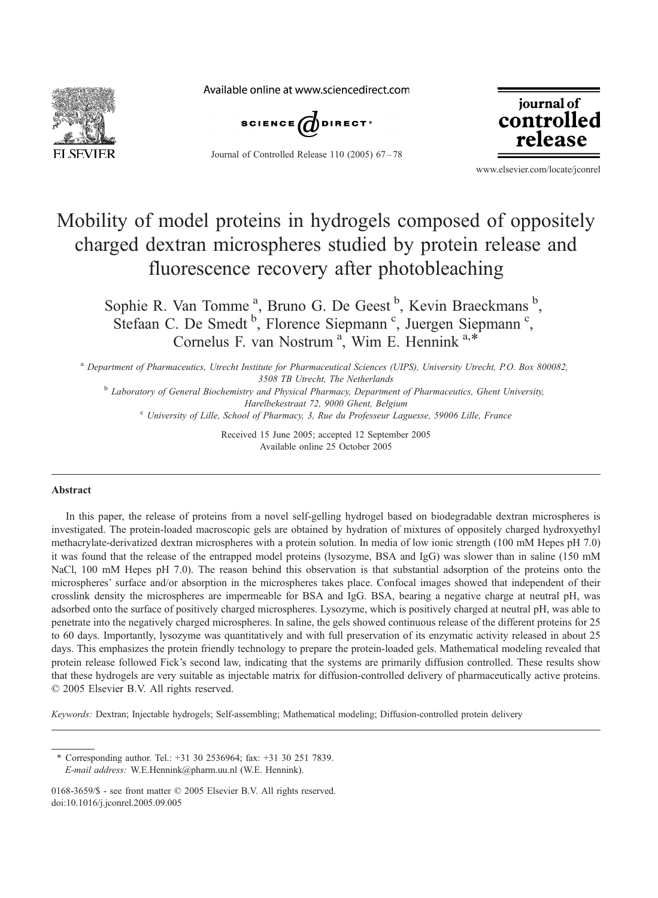

Available online at www.sciencedirect.com



Journal of Controlled Release 110 (2005) 67-78



www.elsevier.com/locate/jconrel

# Mobility of model proteins in hydrogels composed of oppositely charged dextran microspheres studied by protein release and fluorescence recovery after photobleaching

Sophie R. Van Tomme<sup>a</sup>, Bruno G. De Geest<sup>b</sup>, Kevin Braeckmans<sup>b</sup>, Stefaan C. De Smedt <sup>b</sup>, Florence Siepmann<sup>c</sup>, Juergen Siepmann<sup>c</sup>, Cornelus F. van Nostrum<sup>a</sup>, Wim E. Hennink<sup>a,\*</sup>

<sup>a</sup> Department of Pharmaceutics, Utrecht Institute for Pharmaceutical Sciences (UIPS), University Utrecht, P.O. Box 800082, 3508 TB Utrecht, The Netherlands <sup>b</sup> Laboratory of General Biochemistry and Physical Pharmacy, Department of Pharmaceutics, Ghent University,

Harelbekestraat 72, 9000 Ghent, Belgium<br><sup>c</sup> University of Lille, School of Pharmacy, 3, Rue du Professeur Laguesse, 59006 Lille, France

Received 15 June 2005; accepted 12 September 2005 Available online 25 October 2005

#### Abstract

In this paper, the release of proteins from a novel self-gelling hydrogel based on biodegradable dextran microspheres is investigated. The protein-loaded macroscopic gels are obtained by hydration of mixtures of oppositely charged hydroxyethyl methacrylate-derivatized dextran microspheres with a protein solution. In media of low ionic strength (100 mM Hepes pH 7.0) it was found that the release of the entrapped model proteins (lysozyme, BSA and IgG) was slower than in saline (150 mM NaCl, 100 mM Hepes pH 7.0). The reason behind this observation is that substantial adsorption of the proteins onto the microspheres' surface and/or absorption in the microspheres takes place. Confocal images showed that independent of their crosslink density the microspheres are impermeable for BSA and IgG. BSA, bearing a negative charge at neutral pH, was adsorbed onto the surface of positively charged microspheres. Lysozyme, which is positively charged at neutral pH, was able to penetrate into the negatively charged microspheres. In saline, the gels showed continuous release of the different proteins for 25 to 60 days. Importantly, lysozyme was quantitatively and with full preservation of its enzymatic activity released in about 25 days. This emphasizes the protein friendly technology to prepare the protein-loaded gels. Mathematical modeling revealed that protein release followed Fick's second law, indicating that the systems are primarily diffusion controlled. These results show that these hydrogels are very suitable as injectable matrix for diffusion-controlled delivery of pharmaceutically active proteins.  $© 2005 Elsevier B.V. All rights reserved.$ 

Keywords: Dextran; Injectable hydrogels; Self-assembling; Mathematical modeling; Diffusion-controlled protein delivery

<sup>\*</sup> Corresponding author. Tel.: +31 30 2536964; fax: +31 30 251 7839. E-mail address: W.E.Hennink@pharm.uu.nl (W.E. Hennink).

<sup>0168-3659/\$ -</sup> see front matter  $\odot$  2005 Elsevier B.V. All rights reserved. doi:10.1016/j.jconrel.2005.09.005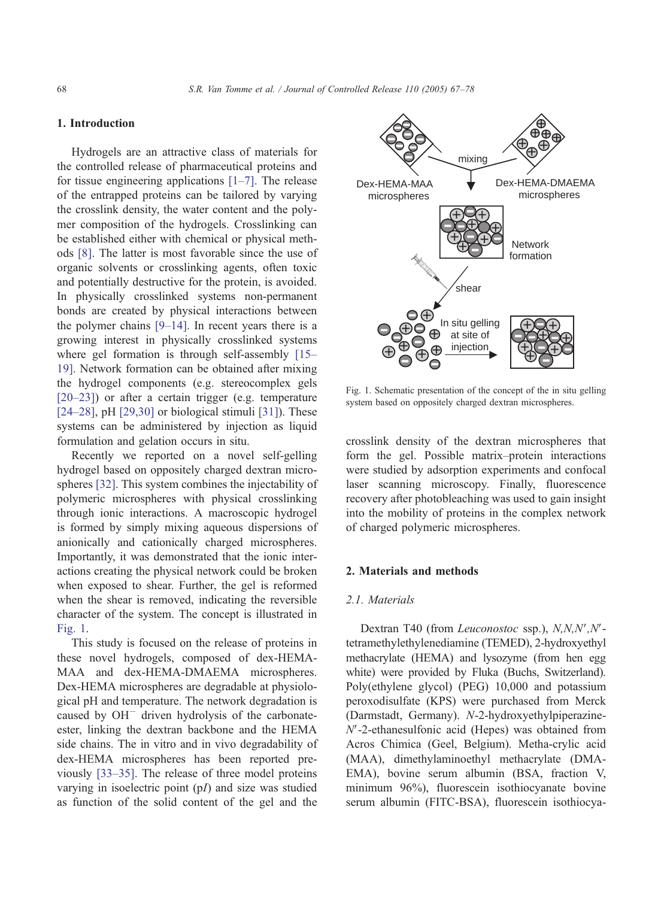## 1. Introduction

Hydrogels are an attractive class of materials for the controlled release of pharmaceutical proteins and for tissue engineering applications  $[1–7]$ . The release of the entrapped proteins can be tailored by varying the crosslink density, the water content and the polymer composition of the hydrogels. Crosslinking can be established either with chemical or physical methods [\[8\].](#page-10-0) The latter is most favorable since the use of organic solvents or crosslinking agents, often toxic and potentially destructive for the protein, is avoided. In physically crosslinked systems non-permanent bonds are created by physical interactions between the polymer chains  $[9-14]$ . In recent years there is a growing interest in physically crosslinked systems where gel formation is through self-assembly [\[15–](#page-10-0) 19]. Network formation can be obtained after mixing the hydrogel components (e.g. stereocomplex gels [\[20–23\]\)](#page-10-0) or after a certain trigger (e.g. temperature  $[24–28]$ , pH $[29,30]$  or biological stimuli  $[31]$ ). These systems can be administered by injection as liquid formulation and gelation occurs in situ.

Recently we reported on a novel self-gelling hydrogel based on oppositely charged dextran microspheres [\[32\].](#page-10-0) This system combines the injectability of polymeric microspheres with physical crosslinking through ionic interactions. A macroscopic hydrogel is formed by simply mixing aqueous dispersions of anionically and cationically charged microspheres. Importantly, it was demonstrated that the ionic interactions creating the physical network could be broken when exposed to shear. Further, the gel is reformed when the shear is removed, indicating the reversible character of the system. The concept is illustrated in Fig. 1.

This study is focused on the release of proteins in these novel hydrogels, composed of dex-HEMA-MAA and dex-HEMA-DMAEMA microspheres. Dex-HEMA microspheres are degradable at physiological pH and temperature. The network degradation is caused by  $OH^-$  driven hydrolysis of the carbonateester, linking the dextran backbone and the HEMA side chains. The in vitro and in vivo degradability of dex-HEMA microspheres has been reported previously [\[33–35\].](#page-10-0) The release of three model proteins varying in isoelectric point (pI) and size was studied as function of the solid content of the gel and the



Fig. 1. Schematic presentation of the concept of the in situ gelling system based on oppositely charged dextran microspheres.

crosslink density of the dextran microspheres that form the gel. Possible matrix–protein interactions were studied by adsorption experiments and confocal laser scanning microscopy. Finally, fluorescence recovery after photobleaching was used to gain insight into the mobility of proteins in the complex network of charged polymeric microspheres.

#### 2. Materials and methods

#### 2.1. Materials

Dextran T40 (from Leuconostoc ssp.), N,N,N',N'tetramethylethylenediamine (TEMED), 2-hydroxyethyl methacrylate (HEMA) and lysozyme (from hen egg white) were provided by Fluka (Buchs, Switzerland). Poly(ethylene glycol) (PEG) 10,000 and potassium peroxodisulfate (KPS) were purchased from Merck (Darmstadt, Germany). N-2-hydroxyethylpiperazine- $N'$ -2-ethanesulfonic acid (Hepes) was obtained from Acros Chimica (Geel, Belgium). Metha-crylic acid (MAA), dimethylaminoethyl methacrylate (DMA-EMA), bovine serum albumin (BSA, fraction V, minimum 96%), fluorescein isothiocyanate bovine serum albumin (FITC-BSA), fluorescein isothiocya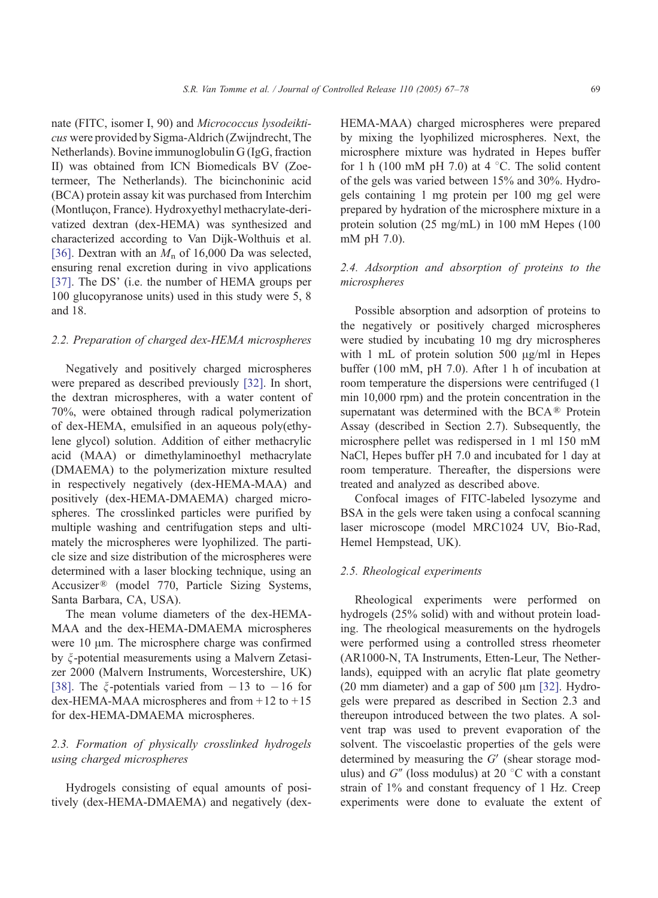nate (FITC, isomer I, 90) and Micrococcus lysodeikticus were provided by Sigma-Aldrich (Zwijndrecht, The Netherlands). Bovine immunoglobulin G (IgG, fraction II) was obtained from ICN Biomedicals BV (Zoetermeer, The Netherlands). The bicinchoninic acid (BCA) protein assay kit was purchased from Interchim (Montluçon, France). Hydroxyethyl methacrylate-derivatized dextran (dex-HEMA) was synthesized and characterized according to Van Dijk-Wolthuis et al. [\[36\].](#page-10-0) Dextran with an  $M_n$  of 16,000 Da was selected, ensuring renal excretion during in vivo applications [\[37\].](#page-11-0) The DS' (i.e. the number of HEMA groups per 100 glucopyranose units) used in this study were 5, 8 and 18.

## 2.2. Preparation of charged dex-HEMA microspheres

Negatively and positively charged microspheres were prepared as described previously [\[32\].](#page-10-0) In short, the dextran microspheres, with a water content of 70%, were obtained through radical polymerization of dex-HEMA, emulsified in an aqueous poly(ethylene glycol) solution. Addition of either methacrylic acid (MAA) or dimethylaminoethyl methacrylate (DMAEMA) to the polymerization mixture resulted in respectively negatively (dex-HEMA-MAA) and positively (dex-HEMA-DMAEMA) charged microspheres. The crosslinked particles were purified by multiple washing and centrifugation steps and ultimately the microspheres were lyophilized. The particle size and size distribution of the microspheres were determined with a laser blocking technique, using an Accusizer<sup>®</sup> (model 770, Particle Sizing Systems, Santa Barbara, CA, USA).

The mean volume diameters of the dex-HEMA-MAA and the dex-HEMA-DMAEMA microspheres were  $10 \mu$ m. The microsphere charge was confirmed by  $\xi$ -potential measurements using a Malvern Zetasizer 2000 (Malvern Instruments, Worcestershire, UK) [\[38\].](#page-11-0) The  $\xi$ -potentials varied from  $-13$  to  $-16$  for dex-HEMA-MAA microspheres and from  $+12$  to  $+15$ for dex-HEMA-DMAEMA microspheres.

# 2.3. Formation of physically crosslinked hydrogels using charged microspheres

Hydrogels consisting of equal amounts of positively (dex-HEMA-DMAEMA) and negatively (dexHEMA-MAA) charged microspheres were prepared by mixing the lyophilized microspheres. Next, the microsphere mixture was hydrated in Hepes buffer for 1 h (100 mM pH 7.0) at 4  $\degree$ C. The solid content of the gels was varied between 15% and 30%. Hydrogels containing 1 mg protein per 100 mg gel were prepared by hydration of the microsphere mixture in a protein solution (25 mg/mL) in 100 mM Hepes (100 mM pH 7.0).

# 2.4. Adsorption and absorption of proteins to the microspheres

Possible absorption and adsorption of proteins to the negatively or positively charged microspheres were studied by incubating 10 mg dry microspheres with 1 mL of protein solution 500  $\mu$ g/ml in Hepes buffer (100 mM, pH 7.0). After 1 h of incubation at room temperature the dispersions were centrifuged (1 min 10,000 rpm) and the protein concentration in the supernatant was determined with the BCA $\mathcal{R}$  Protein Assay (described in Section 2.7). Subsequently, the microsphere pellet was redispersed in 1 ml 150 mM NaCl, Hepes buffer pH 7.0 and incubated for 1 day at room temperature. Thereafter, the dispersions were treated and analyzed as described above.

Confocal images of FITC-labeled lysozyme and BSA in the gels were taken using a confocal scanning laser microscope (model MRC1024 UV, Bio-Rad, Hemel Hempstead, UK).

## 2.5. Rheological experiments

Rheological experiments were performed on hydrogels (25% solid) with and without protein loading. The rheological measurements on the hydrogels were performed using a controlled stress rheometer (AR1000-N, TA Instruments, Etten-Leur, The Netherlands), equipped with an acrylic flat plate geometry (20 mm diameter) and a gap of 500  $\mu$ m [\[32\].](#page-10-0) Hydrogels were prepared as described in Section 2.3 and thereupon introduced between the two plates. A solvent trap was used to prevent evaporation of the solvent. The viscoelastic properties of the gels were determined by measuring the  $G'$  (shear storage modulus) and  $G''$  (loss modulus) at 20 °C with a constant strain of 1% and constant frequency of 1 Hz. Creep experiments were done to evaluate the extent of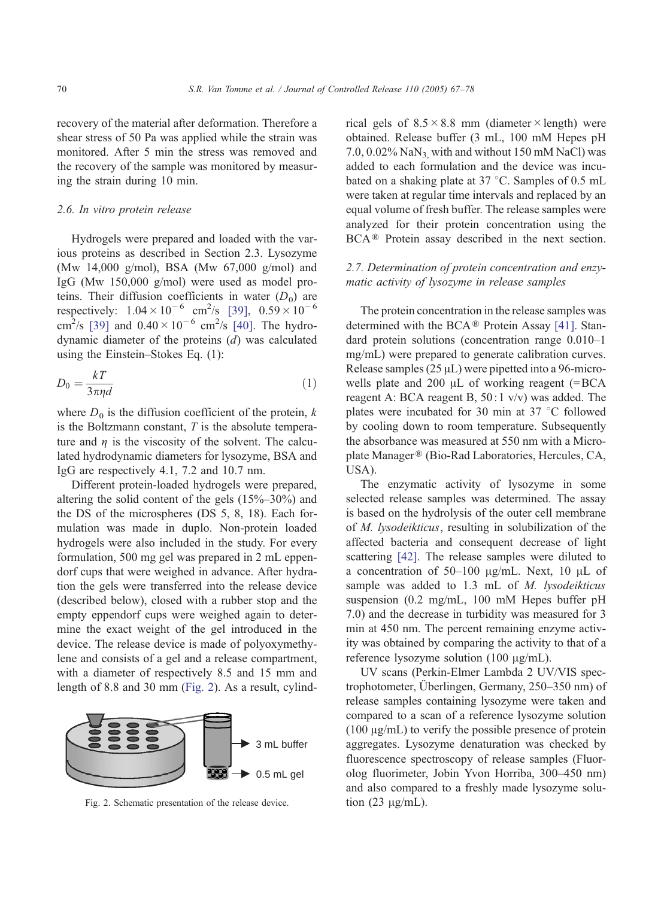recovery of the material after deformation. Therefore a shear stress of 50 Pa was applied while the strain was monitored. After 5 min the stress was removed and the recovery of the sample was monitored by measuring the strain during 10 min.

### 2.6. In vitro protein release

Hydrogels were prepared and loaded with the various proteins as described in Section 2.3. Lysozyme (Mw 14,000 g/mol), BSA (Mw 67,000 g/mol) and IgG (Mw 150,000 g/mol) were used as model proteins. Their diffusion coefficients in water  $(D_0)$  are respectively:  $1.04 \times 10^{-6}$  cm<sup>2</sup>/s [\[39\],](#page-11-0)  $0.59 \times 10^{-6}$ cm<sup>2</sup>/s [\[39\]](#page-11-0) and  $0.40 \times 10^{-6}$  cm<sup>2</sup>/s [\[40\].](#page-11-0) The hydrodynamic diameter of the proteins (d) was calculated using the Einstein–Stokes Eq. (1):

$$
D_0 = \frac{kT}{3\pi\eta d} \tag{1}
$$

where  $D_0$  is the diffusion coefficient of the protein, k is the Boltzmann constant,  $T$  is the absolute temperature and  $\eta$  is the viscosity of the solvent. The calculated hydrodynamic diameters for lysozyme, BSA and IgG are respectively 4.1, 7.2 and 10.7 nm.

Different protein-loaded hydrogels were prepared, altering the solid content of the gels (15%–30%) and the DS of the microspheres (DS 5, 8, 18). Each formulation was made in duplo. Non-protein loaded hydrogels were also included in the study. For every formulation, 500 mg gel was prepared in 2 mL eppendorf cups that were weighed in advance. After hydration the gels were transferred into the release device (described below), closed with a rubber stop and the empty eppendorf cups were weighed again to determine the exact weight of the gel introduced in the device. The release device is made of polyoxymethylene and consists of a gel and a release compartment, with a diameter of respectively 8.5 and 15 mm and length of 8.8 and 30 mm (Fig. 2). As a result, cylind-



Fig. 2. Schematic presentation of the release device.

rical gels of  $8.5 \times 8.8$  mm (diameter  $\times$  length) were obtained. Release buffer (3 mL, 100 mM Hepes pH 7.0,  $0.02\%$  NaN<sub>3</sub>, with and without 150 mM NaCl) was added to each formulation and the device was incubated on a shaking plate at  $37 \degree C$ . Samples of 0.5 mL were taken at regular time intervals and replaced by an equal volume of fresh buffer. The release samples were analyzed for their protein concentration using the BCA<sup>®</sup> Protein assay described in the next section.

## 2.7. Determination of protein concentration and enzymatic activity of lysozyme in release samples

The protein concentration in the release samples was determined with the BCA $\mathcal{R}$  Protein Assay [\[41\].](#page-11-0) Standard protein solutions (concentration range 0.010–1 mg/mL) were prepared to generate calibration curves. Release samples  $(25 \mu L)$  were pipetted into a 96-microwells plate and 200  $\mu$ L of working reagent (=BCA reagent A: BCA reagent B,  $50:1 \frac{\nu}{\nu}$  was added. The plates were incubated for 30 min at 37  $\degree$ C followed by cooling down to room temperature. Subsequently the absorbance was measured at 550 nm with a Microplate Manager® (Bio-Rad Laboratories, Hercules, CA, USA).

The enzymatic activity of lysozyme in some selected release samples was determined. The assay is based on the hydrolysis of the outer cell membrane of M. lysodeikticus, resulting in solubilization of the affected bacteria and consequent decrease of light scattering [\[42\].](#page-11-0) The release samples were diluted to a concentration of 50–100  $\mu$ g/mL. Next, 10  $\mu$ L of sample was added to 1.3 mL of M. lysodeikticus suspension (0.2 mg/mL, 100 mM Hepes buffer pH 7.0) and the decrease in turbidity was measured for 3 min at 450 nm. The percent remaining enzyme activity was obtained by comparing the activity to that of a reference lysozyme solution  $(100 \mu g/mL)$ .

UV scans (Perkin-Elmer Lambda 2 UV/VIS spectrophotometer, Überlingen, Germany,  $250-350$  nm) of release samples containing lysozyme were taken and compared to a scan of a reference lysozyme solution  $(100 \mu g/mL)$  to verify the possible presence of protein aggregates. Lysozyme denaturation was checked by fluorescence spectroscopy of release samples (Fluorolog fluorimeter, Jobin Yvon Horriba, 300–450 nm) and also compared to a freshly made lysozyme solution  $(23 \mu g/mL)$ .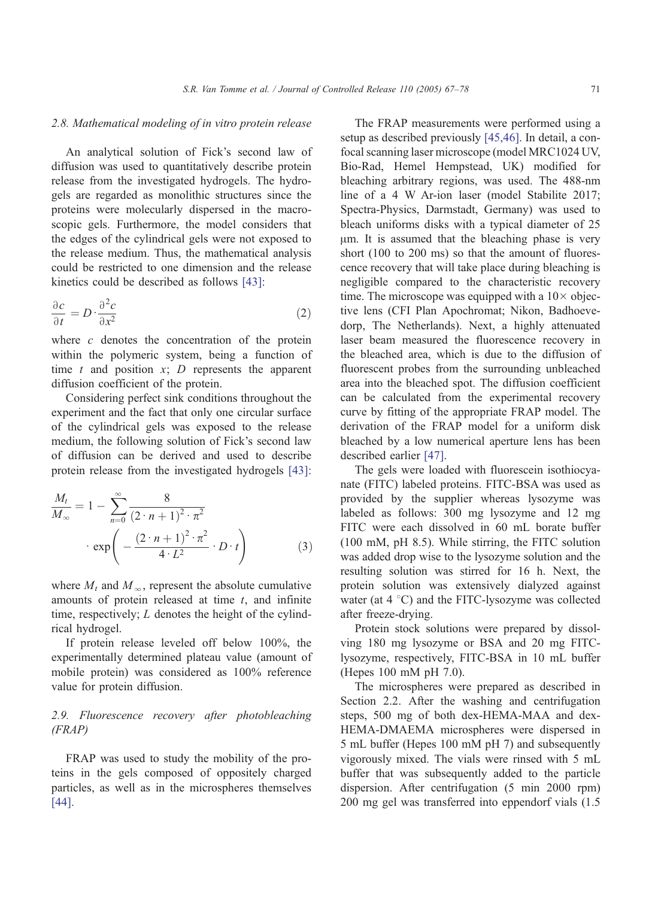## 2.8. Mathematical modeling of in vitro protein release

An analytical solution of Fick's second law of diffusion was used to quantitatively describe protein release from the investigated hydrogels. The hydrogels are regarded as monolithic structures since the proteins were molecularly dispersed in the macroscopic gels. Furthermore, the model considers that the edges of the cylindrical gels were not exposed to the release medium. Thus, the mathematical analysis could be restricted to one dimension and the release kinetics could be described as follows [\[43\]:](#page-11-0)

$$
\frac{\partial c}{\partial t} = D \cdot \frac{\partial^2 c}{\partial x^2} \tag{2}
$$

where  $c$  denotes the concentration of the protein within the polymeric system, being a function of time  $t$  and position  $x$ ;  $D$  represents the apparent diffusion coefficient of the protein.

Considering perfect sink conditions throughout the experiment and the fact that only one circular surface of the cylindrical gels was exposed to the release medium, the following solution of Fick's second law of diffusion can be derived and used to describe protein release from the investigated hydrogels [\[43\]:](#page-11-0)

$$
\frac{M_t}{M_\infty} = 1 - \sum_{n=0}^{\infty} \frac{8}{\left(2 \cdot n + 1\right)^2 \cdot \pi^2}
$$
\n
$$
\exp\left(-\frac{\left(2 \cdot n + 1\right)^2 \cdot \pi^2}{4 \cdot L^2} \cdot D \cdot t\right) \tag{3}
$$

where  $M_t$  and  $M_\infty$ , represent the absolute cumulative amounts of protein released at time  $t$ , and infinite time, respectively;  $L$  denotes the height of the cylindrical hydrogel.

If protein release leveled off below 100%, the experimentally determined plateau value (amount of mobile protein) was considered as 100% reference value for protein diffusion.

# 2.9. Fluorescence recovery after photobleaching (FRAP)

FRAP was used to study the mobility of the proteins in the gels composed of oppositely charged particles, as well as in the microspheres themselves [\[44\].](#page-11-0)

The FRAP measurements were performed using a setup as described previously [\[45,46\].](#page-11-0) In detail, a confocal scanning laser microscope (model MRC1024 UV, Bio-Rad, Hemel Hempstead, UK) modified for bleaching arbitrary regions, was used. The 488-nm line of a 4 W Ar-ion laser (model Stabilite 2017; Spectra-Physics, Darmstadt, Germany) was used to bleach uniforms disks with a typical diameter of 25  $\mu$ m. It is assumed that the bleaching phase is very short (100 to 200 ms) so that the amount of fluorescence recovery that will take place during bleaching is negligible compared to the characteristic recovery time. The microscope was equipped with a  $10\times$  objective lens (CFI Plan Apochromat; Nikon, Badhoevedorp, The Netherlands). Next, a highly attenuated laser beam measured the fluorescence recovery in the bleached area, which is due to the diffusion of fluorescent probes from the surrounding unbleached area into the bleached spot. The diffusion coefficient can be calculated from the experimental recovery curve by fitting of the appropriate FRAP model. The derivation of the FRAP model for a uniform disk bleached by a low numerical aperture lens has been described earlier [\[47\].](#page-11-0)

The gels were loaded with fluorescein isothiocyanate (FITC) labeled proteins. FITC-BSA was used as provided by the supplier whereas lysozyme was labeled as follows: 300 mg lysozyme and 12 mg FITC were each dissolved in 60 mL borate buffer (100 mM, pH 8.5). While stirring, the FITC solution was added drop wise to the lysozyme solution and the resulting solution was stirred for 16 h. Next, the protein solution was extensively dialyzed against water (at  $4^{\circ}$ C) and the FITC-lysozyme was collected after freeze-drying.

Protein stock solutions were prepared by dissolving 180 mg lysozyme or BSA and 20 mg FITClysozyme, respectively, FITC-BSA in 10 mL buffer (Hepes 100 mM pH 7.0).

The microspheres were prepared as described in Section 2.2. After the washing and centrifugation steps, 500 mg of both dex-HEMA-MAA and dex-HEMA-DMAEMA microspheres were dispersed in 5 mL buffer (Hepes 100 mM pH 7) and subsequently vigorously mixed. The vials were rinsed with 5 mL buffer that was subsequently added to the particle dispersion. After centrifugation (5 min 2000 rpm) 200 mg gel was transferred into eppendorf vials (1.5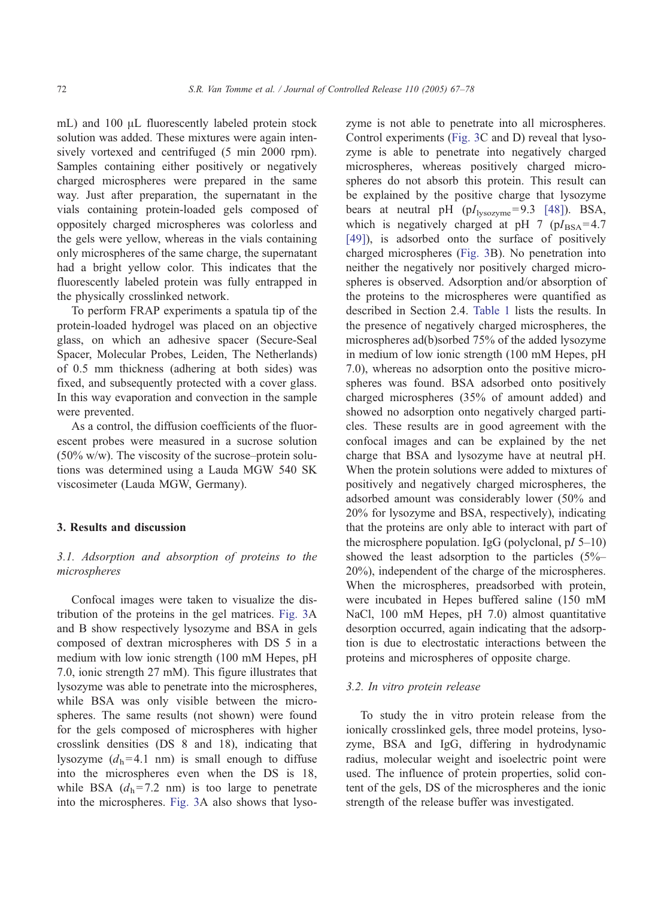mL) and  $100 \mu$ L fluorescently labeled protein stock solution was added. These mixtures were again intensively vortexed and centrifuged (5 min 2000 rpm). Samples containing either positively or negatively charged microspheres were prepared in the same way. Just after preparation, the supernatant in the vials containing protein-loaded gels composed of oppositely charged microspheres was colorless and the gels were yellow, whereas in the vials containing only microspheres of the same charge, the supernatant had a bright yellow color. This indicates that the fluorescently labeled protein was fully entrapped in the physically crosslinked network.

To perform FRAP experiments a spatula tip of the protein-loaded hydrogel was placed on an objective glass, on which an adhesive spacer (Secure-Seal Spacer, Molecular Probes, Leiden, The Netherlands) of 0.5 mm thickness (adhering at both sides) was fixed, and subsequently protected with a cover glass. In this way evaporation and convection in the sample were prevented.

As a control, the diffusion coefficients of the fluorescent probes were measured in a sucrose solution (50% w/w). The viscosity of the sucrose–protein solutions was determined using a Lauda MGW 540 SK viscosimeter (Lauda MGW, Germany).

### 3. Results and discussion

## 3.1. Adsorption and absorption of proteins to the microspheres

Confocal images were taken to visualize the distribution of the proteins in the gel matrices. [Fig. 3A](#page-6-0) and B show respectively lysozyme and BSA in gels composed of dextran microspheres with DS 5 in a medium with low ionic strength (100 mM Hepes, pH 7.0, ionic strength 27 mM). This figure illustrates that lysozyme was able to penetrate into the microspheres, while BSA was only visible between the microspheres. The same results (not shown) were found for the gels composed of microspheres with higher crosslink densities (DS 8 and 18), indicating that lysozyme  $(d_h=4.1 \text{ nm})$  is small enough to diffuse into the microspheres even when the DS is 18, while BSA  $(d_h= 7.2 \text{ nm})$  is too large to penetrate into the microspheres. [Fig. 3A](#page-6-0) also shows that lysozyme is not able to penetrate into all microspheres. Control experiments ([Fig. 3C](#page-6-0) and D) reveal that lysozyme is able to penetrate into negatively charged microspheres, whereas positively charged microspheres do not absorb this protein. This result can be explained by the positive charge that lysozyme bears at neutral pH  $(pI<sub>lysozyme</sub>=9.3 [48])$  $(pI<sub>lysozyme</sub>=9.3 [48])$ . BSA, which is negatively charged at pH 7 ( $pI_{BSA} = 4.7$ ) [\[49\]\)](#page-11-0), is adsorbed onto the surface of positively charged microspheres ([Fig. 3B](#page-6-0)). No penetration into neither the negatively nor positively charged microspheres is observed. Adsorption and/or absorption of the proteins to the microspheres were quantified as described in Section 2.4. [Table 1](#page-6-0) lists the results. In the presence of negatively charged microspheres, the microspheres ad(b)sorbed 75% of the added lysozyme in medium of low ionic strength (100 mM Hepes, pH 7.0), whereas no adsorption onto the positive microspheres was found. BSA adsorbed onto positively charged microspheres (35% of amount added) and showed no adsorption onto negatively charged particles. These results are in good agreement with the confocal images and can be explained by the net charge that BSA and lysozyme have at neutral pH. When the protein solutions were added to mixtures of positively and negatively charged microspheres, the adsorbed amount was considerably lower (50% and 20% for lysozyme and BSA, respectively), indicating that the proteins are only able to interact with part of the microsphere population. IgG (polyclonal,  $pI$  5–10) showed the least adsorption to the particles (5%– 20%), independent of the charge of the microspheres. When the microspheres, preadsorbed with protein, were incubated in Hepes buffered saline (150 mM NaCl, 100 mM Hepes, pH 7.0) almost quantitative desorption occurred, again indicating that the adsorption is due to electrostatic interactions between the proteins and microspheres of opposite charge.

#### 3.2. In vitro protein release

To study the in vitro protein release from the ionically crosslinked gels, three model proteins, lysozyme, BSA and IgG, differing in hydrodynamic radius, molecular weight and isoelectric point were used. The influence of protein properties, solid content of the gels, DS of the microspheres and the ionic strength of the release buffer was investigated.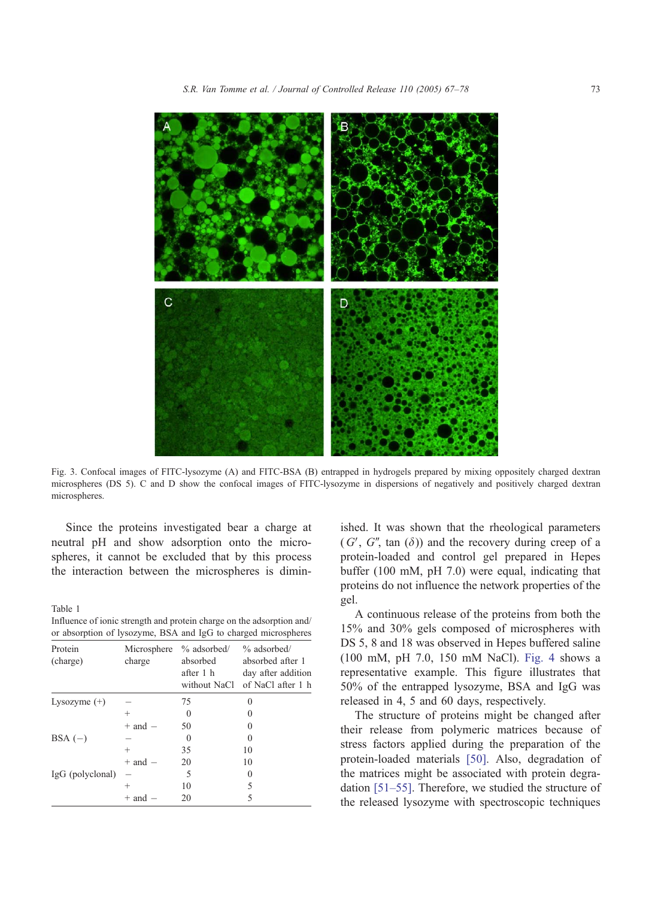<span id="page-6-0"></span>

Fig. 3. Confocal images of FITC-lysozyme (A) and FITC-BSA (B) entrapped in hydrogels prepared by mixing oppositely charged dextran microspheres (DS 5). C and D show the confocal images of FITC-lysozyme in dispersions of negatively and positively charged dextran microspheres.

Since the proteins investigated bear a charge at neutral pH and show adsorption onto the microspheres, it cannot be excluded that by this process the interaction between the microspheres is dimin-

Table 1

| Influence of ionic strength and protein charge on the adsorption and/ |  |  |
|-----------------------------------------------------------------------|--|--|
| or absorption of lysozyme, BSA and IgG to charged microspheres        |  |  |

| Protein<br>(charge) | Microsphere<br>charge | % adsorbed/<br>absorbed<br>after 1 h<br>without NaCl | $%$ adsorbed/<br>absorbed after 1<br>day after addition<br>of NaCl after 1 h |
|---------------------|-----------------------|------------------------------------------------------|------------------------------------------------------------------------------|
| Lysozyme $(+)$      |                       | 75                                                   | $\Omega$                                                                     |
|                     | $\pm$                 | $\Omega$                                             | 0                                                                            |
|                     | $+$ and $-$           | 50                                                   | 0                                                                            |
| $BSA(-)$            |                       |                                                      | $\Omega$                                                                     |
|                     | $^{+}$                | 35                                                   | 10                                                                           |
|                     | $+$ and $-$           | 20                                                   | 10                                                                           |
| IgG (polyclonal)    |                       | 5                                                    | 0                                                                            |
|                     | $\hskip 0.025cm +$    | 10                                                   | 5                                                                            |
|                     | + and                 | 20                                                   | 5                                                                            |

ished. It was shown that the rheological parameters  $(G', G'', \tan (\delta))$  and the recovery during creep of a protein-loaded and control gel prepared in Hepes buffer (100 mM, pH 7.0) were equal, indicating that proteins do not influence the network properties of the gel.

A continuous release of the proteins from both the 15% and 30% gels composed of microspheres with DS 5, 8 and 18 was observed in Hepes buffered saline (100 mM, pH 7.0, 150 mM NaCl). [Fig. 4](#page-7-0) shows a representative example. This figure illustrates that 50% of the entrapped lysozyme, BSA and IgG was released in 4, 5 and 60 days, respectively.

The structure of proteins might be changed after their release from polymeric matrices because of stress factors applied during the preparation of the protein-loaded materials [\[50\].](#page-11-0) Also, degradation of the matrices might be associated with protein degradation [\[51–55\].](#page-11-0) Therefore, we studied the structure of the released lysozyme with spectroscopic techniques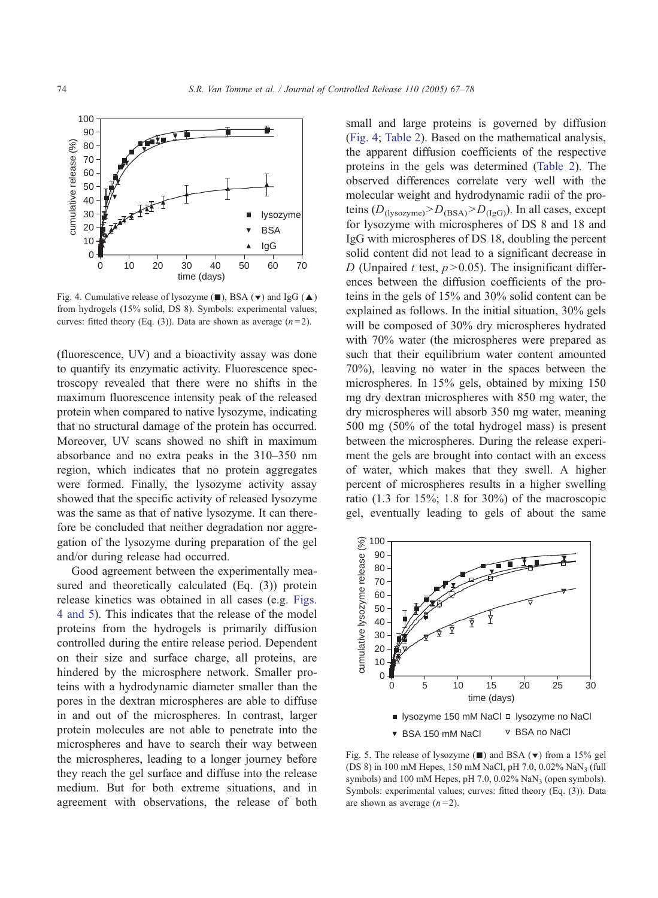<span id="page-7-0"></span>

Fig. 4. Cumulative release of lysozyme  $(\blacksquare)$ , BSA  $(\blacktriangledown)$  and IgG  $(\blacktriangle)$ from hydrogels (15% solid, DS 8). Symbols: experimental values; curves: fitted theory (Eq. (3)). Data are shown as average  $(n=2)$ .

(fluorescence, UV) and a bioactivity assay was done to quantify its enzymatic activity. Fluorescence spectroscopy revealed that there were no shifts in the maximum fluorescence intensity peak of the released protein when compared to native lysozyme, indicating that no structural damage of the protein has occurred. Moreover, UV scans showed no shift in maximum absorbance and no extra peaks in the 310–350 nm region, which indicates that no protein aggregates were formed. Finally, the lysozyme activity assay showed that the specific activity of released lysozyme was the same as that of native lysozyme. It can therefore be concluded that neither degradation nor aggregation of the lysozyme during preparation of the gel and/or during release had occurred.

Good agreement between the experimentally measured and theoretically calculated (Eq. (3)) protein release kinetics was obtained in all cases (e.g. Figs. 4 and 5). This indicates that the release of the model proteins from the hydrogels is primarily diffusion controlled during the entire release period. Dependent on their size and surface charge, all proteins, are hindered by the microsphere network. Smaller proteins with a hydrodynamic diameter smaller than the pores in the dextran microspheres are able to diffuse in and out of the microspheres. In contrast, larger protein molecules are not able to penetrate into the microspheres and have to search their way between the microspheres, leading to a longer journey before they reach the gel surface and diffuse into the release medium. But for both extreme situations, and in agreement with observations, the release of both small and large proteins is governed by diffusion (Fig. 4; [Table 2\)](#page-8-0). Based on the mathematical analysis, the apparent diffusion coefficients of the respective proteins in the gels was determined ([Table 2\)](#page-8-0). The observed differences correlate very well with the molecular weight and hydrodynamic radii of the proteins  $(D_{(lysozyme)} > D_{(BSA)} > D_{(IgG)})$ . In all cases, except for lysozyme with microspheres of DS 8 and 18 and IgG with microspheres of DS 18, doubling the percent solid content did not lead to a significant decrease in D (Unpaired t test,  $p > 0.05$ ). The insignificant differences between the diffusion coefficients of the proteins in the gels of 15% and 30% solid content can be explained as follows. In the initial situation, 30% gels will be composed of 30% dry microspheres hydrated with 70% water (the microspheres were prepared as such that their equilibrium water content amounted 70%), leaving no water in the spaces between the microspheres. In 15% gels, obtained by mixing 150 mg dry dextran microspheres with 850 mg water, the dry microspheres will absorb 350 mg water, meaning 500 mg (50% of the total hydrogel mass) is present between the microspheres. During the release experiment the gels are brought into contact with an excess of water, which makes that they swell. A higher percent of microspheres results in a higher swelling ratio  $(1.3$  for  $15\%$ ; 1.8 for  $30\%$ ) of the macroscopic gel, eventually leading to gels of about the same



Fig. 5. The release of lysozyme  $(\blacksquare)$  and BSA  $(\blacktriangledown)$  from a 15% gel (DS 8) in 100 mM Hepes, 150 mM NaCl, pH 7.0, 0.02% NaN3 (full symbols) and  $100$  mM Hepes, pH  $7.0$ ,  $0.02\%$  NaN<sub>3</sub> (open symbols). Symbols: experimental values; curves: fitted theory (Eq. (3)). Data are shown as average  $(n=2)$ .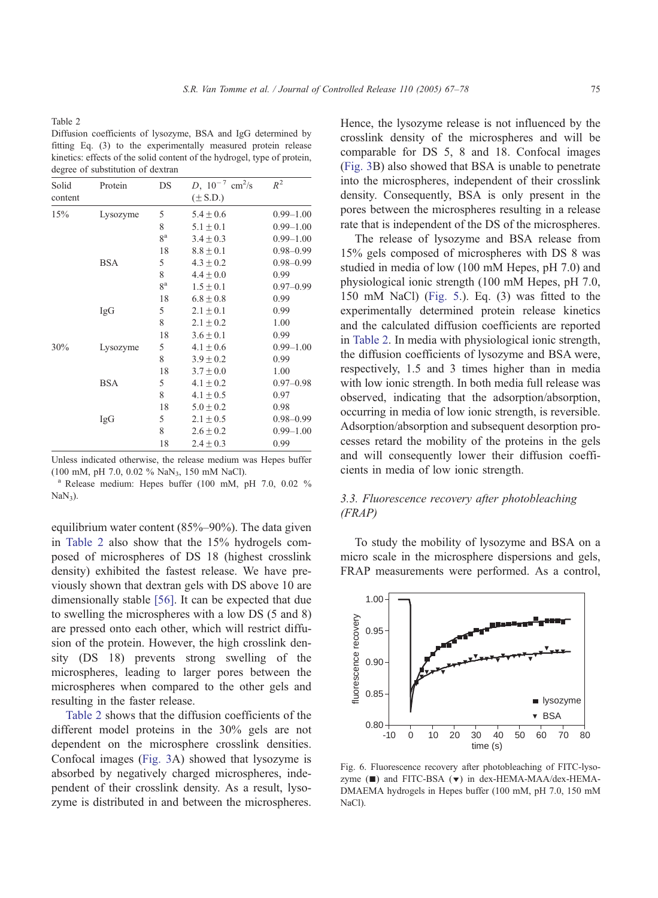<span id="page-8-0"></span>

| Solid   | Protein    | DS             | $D, 10^{-7}$ cm <sup>2</sup> /s | $R^2$         |
|---------|------------|----------------|---------------------------------|---------------|
| content |            |                | $(\pm S.D.)$                    |               |
| 15%     | Lysozyme   | 5              | $5.4 \pm 0.6$                   | $0.99 - 1.00$ |
|         |            | 8              | $5.1 \pm 0.1$                   | $0.99 - 1.00$ |
|         |            | 8 <sup>a</sup> | $3.4 \pm 0.3$                   | $0.99 - 1.00$ |
|         |            | 18             | $8.8 \pm 0.1$                   | $0.98 - 0.99$ |
|         | <b>BSA</b> | 5              | $4.3 \pm 0.2$                   | $0.98 - 0.99$ |
|         |            | 8              | $4.4 \pm 0.0$                   | 0.99          |
|         |            | ga             | $1.5 \pm 0.1$                   | $0.97 - 0.99$ |
|         |            | 18             | $6.8 \pm 0.8$                   | 0.99          |
|         | IgG        | 5              | $2.1 \pm 0.1$                   | 0.99          |
|         |            | 8              | $2.1 \pm 0.2$                   | 1.00          |
|         |            | 18             | $3.6 \pm 0.1$                   | 0.99          |
| 30%     | Lysozyme   | 5              | $4.1 \pm 0.6$                   | $0.99 - 1.00$ |
|         |            | 8              | $3.9 \pm 0.2$                   | 0.99          |
|         |            | 18             | $3.7 \pm 0.0$                   | 1.00          |
|         | <b>BSA</b> | 5              | $4.1 \pm 0.2$                   | $0.97 - 0.98$ |
|         |            | 8              | $4.1 \pm 0.5$                   | 0.97          |
|         |            | 18             | $5.0 \pm 0.2$                   | 0.98          |
|         | IgG        | 5              | $2.1 \pm 0.5$                   | $0.98 - 0.99$ |
|         |            | 8              | $2.6 \pm 0.2$                   | $0.99 - 1.00$ |
|         |            | 18             | $2.4 \pm 0.3$                   | 0.99          |
|         |            |                |                                 |               |

Unless indicated otherwise, the release medium was Hepes buffer (100 mM, pH 7.0, 0.02 % NaN3, 150 mM NaCl). <sup>a</sup> Release medium: Hepes buffer (100 mM, pH 7.0, 0.02 %

 $NaN<sub>3</sub>$ ).

equilibrium water content (85%–90%). The data given in Table 2 also show that the 15% hydrogels composed of microspheres of DS 18 (highest crosslink density) exhibited the fastest release. We have previously shown that dextran gels with DS above 10 are dimensionally stable [\[56\].](#page-11-0) It can be expected that due to swelling the microspheres with a low DS (5 and 8) are pressed onto each other, which will restrict diffusion of the protein. However, the high crosslink density (DS 18) prevents strong swelling of the microspheres, leading to larger pores between the microspheres when compared to the other gels and resulting in the faster release.

Table 2 shows that the diffusion coefficients of the different model proteins in the 30% gels are not dependent on the microsphere crosslink densities. Confocal images ([Fig. 3A](#page-6-0)) showed that lysozyme is absorbed by negatively charged microspheres, independent of their crosslink density. As a result, lysozyme is distributed in and between the microspheres.

Hence, the lysozyme release is not influenced by the crosslink density of the microspheres and will be comparable for DS 5, 8 and 18. Confocal images ([Fig. 3B](#page-6-0)) also showed that BSA is unable to penetrate into the microspheres, independent of their crosslink density. Consequently, BSA is only present in the pores between the microspheres resulting in a release rate that is independent of the DS of the microspheres.

The release of lysozyme and BSA release from 15% gels composed of microspheres with DS 8 was studied in media of low (100 mM Hepes, pH 7.0) and physiological ionic strength (100 mM Hepes, pH 7.0, 150 mM NaCl) ([Fig. 5.](#page-7-0)). Eq. (3) was fitted to the experimentally determined protein release kinetics and the calculated diffusion coefficients are reported in Table 2. In media with physiological ionic strength, the diffusion coefficients of lysozyme and BSA were, respectively, 1.5 and 3 times higher than in media with low ionic strength. In both media full release was observed, indicating that the adsorption/absorption, occurring in media of low ionic strength, is reversible. Adsorption/absorption and subsequent desorption processes retard the mobility of the proteins in the gels and will consequently lower their diffusion coefficients in media of low ionic strength.

## 3.3. Fluorescence recovery after photobleaching (FRAP)

To study the mobility of lysozyme and BSA on a micro scale in the microsphere dispersions and gels, FRAP measurements were performed. As a control,



Fig. 6. Fluorescence recovery after photobleaching of FITC-lysozyme  $(\blacksquare)$  and FITC-BSA  $(\blacktriangledown)$  in dex-HEMA-MAA/dex-HEMA-DMAEMA hydrogels in Hepes buffer (100 mM, pH 7.0, 150 mM NaCl).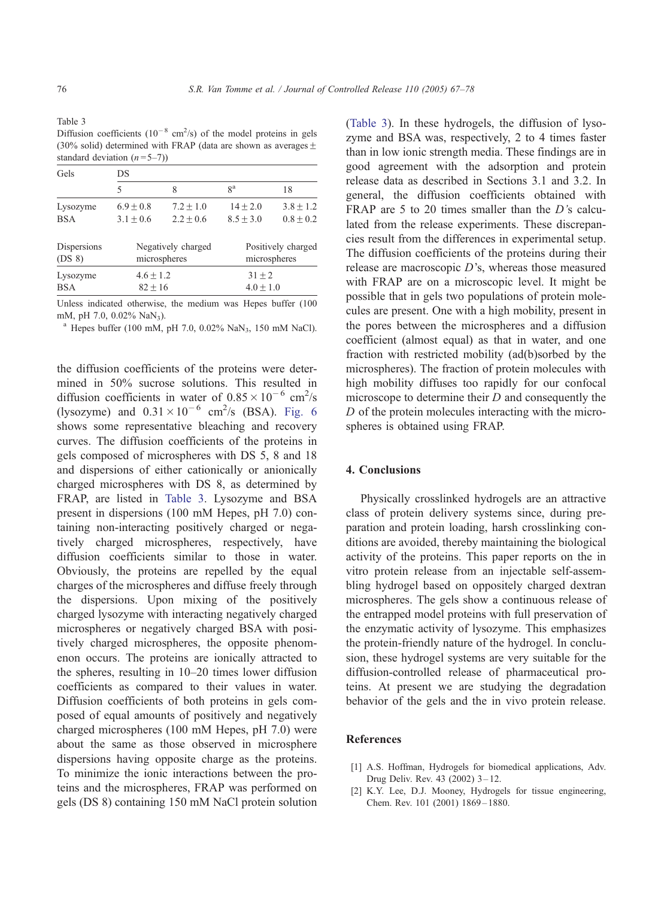<span id="page-9-0"></span>Table 3 Diffusion coefficients  $(10^{-8} \text{ cm}^2/\text{s})$  of the model proteins in gels (30% solid) determined with FRAP (data are shown as averages  $\pm$ standard deviation  $(n=5-7)$ )

| Gels        | DS                 |             |                    |             |  |  |
|-------------|--------------------|-------------|--------------------|-------------|--|--|
|             | 5                  | 8           | ga                 | 18          |  |  |
| Lysozyme    | $6.9 + 0.8$        | $7.2 + 1.0$ | $14 + 2.0$         | $3.8 + 1.2$ |  |  |
| <b>BSA</b>  | $3.1 + 0.6$        | $2.2 + 0.6$ | $8.5 + 3.0$        | $0.8 + 0.2$ |  |  |
| Dispersions | Negatively charged |             | Positively charged |             |  |  |
| $(DS_8)$    | microspheres       |             | microspheres       |             |  |  |
| Lysozyme    | $4.6 \pm 1.2$      |             | $31 + 2$           |             |  |  |
| <b>BSA</b>  | $82 + 16$          |             | $4.0 + 1.0$        |             |  |  |

Unless indicated otherwise, the medium was Hepes buffer (100 mM, pH 7.0, 0.02% NaN<sub>3</sub>).<br><sup>a</sup> Hepes buffer (100 mM, pH 7.0, 0.02% NaN<sub>3</sub>, 150 mM NaCl).

the diffusion coefficients of the proteins were determined in 50% sucrose solutions. This resulted in diffusion coefficients in water of  $0.85 \times 10^{-6}$  cm<sup>2</sup>/s (lysozyme) and  $0.31 \times 10^{-6}$  cm<sup>2</sup>/s (BSA). [Fig. 6](#page-8-0) shows some representative bleaching and recovery curves. The diffusion coefficients of the proteins in gels composed of microspheres with DS 5, 8 and 18 and dispersions of either cationically or anionically charged microspheres with DS 8, as determined by FRAP, are listed in Table 3. Lysozyme and BSA present in dispersions (100 mM Hepes, pH 7.0) containing non-interacting positively charged or negatively charged microspheres, respectively, have diffusion coefficients similar to those in water. Obviously, the proteins are repelled by the equal charges of the microspheres and diffuse freely through the dispersions. Upon mixing of the positively charged lysozyme with interacting negatively charged microspheres or negatively charged BSA with positively charged microspheres, the opposite phenomenon occurs. The proteins are ionically attracted to the spheres, resulting in 10–20 times lower diffusion coefficients as compared to their values in water. Diffusion coefficients of both proteins in gels composed of equal amounts of positively and negatively charged microspheres (100 mM Hepes, pH 7.0) were about the same as those observed in microsphere dispersions having opposite charge as the proteins. To minimize the ionic interactions between the proteins and the microspheres, FRAP was performed on gels (DS 8) containing 150 mM NaCl protein solution

(Table 3). In these hydrogels, the diffusion of lysozyme and BSA was, respectively, 2 to 4 times faster than in low ionic strength media. These findings are in good agreement with the adsorption and protein release data as described in Sections 3.1 and 3.2. In general, the diffusion coefficients obtained with FRAP are 5 to 20 times smaller than the D's calculated from the release experiments. These discrepancies result from the differences in experimental setup. The diffusion coefficients of the proteins during their release are macroscopic  $D$ 's, whereas those measured with FRAP are on a microscopic level. It might be possible that in gels two populations of protein molecules are present. One with a high mobility, present in the pores between the microspheres and a diffusion coefficient (almost equal) as that in water, and one fraction with restricted mobility (ad(b)sorbed by the microspheres). The fraction of protein molecules with high mobility diffuses too rapidly for our confocal microscope to determine their  $D$  and consequently the D of the protein molecules interacting with the microspheres is obtained using FRAP.

## 4. Conclusions

Physically crosslinked hydrogels are an attractive class of protein delivery systems since, during preparation and protein loading, harsh crosslinking conditions are avoided, thereby maintaining the biological activity of the proteins. This paper reports on the in vitro protein release from an injectable self-assembling hydrogel based on oppositely charged dextran microspheres. The gels show a continuous release of the entrapped model proteins with full preservation of the enzymatic activity of lysozyme. This emphasizes the protein-friendly nature of the hydrogel. In conclusion, these hydrogel systems are very suitable for the diffusion-controlled release of pharmaceutical proteins. At present we are studying the degradation behavior of the gels and the in vivo protein release.

## **References**

- [1] A.S. Hoffman, Hydrogels for biomedical applications, Adv. Drug Deliv. Rev. 43 (2002) 3 – 12.
- [2] K.Y. Lee, D.J. Mooney, Hydrogels for tissue engineering, Chem. Rev. 101 (2001) 1869-1880.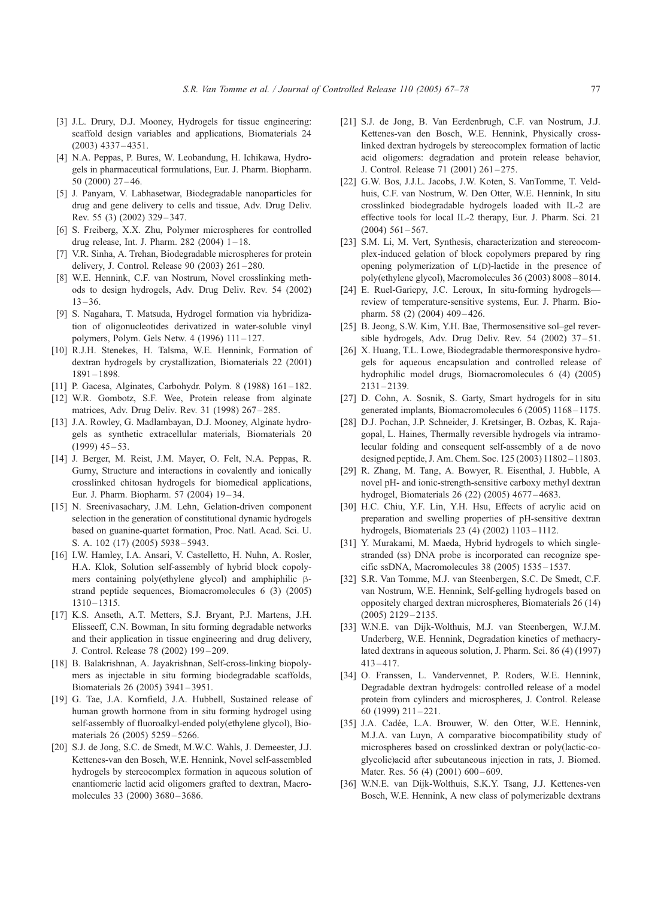- <span id="page-10-0"></span>[3] J.L. Drury, D.J. Mooney, Hydrogels for tissue engineering: scaffold design variables and applications, Biomaterials 24 (2003) 4337 – 4351.
- [4] N.A. Peppas, P. Bures, W. Leobandung, H. Ichikawa, Hydrogels in pharmaceutical formulations, Eur. J. Pharm. Biopharm. 50 (2000) 27 – 46.
- [5] J. Panyam, V. Labhasetwar, Biodegradable nanoparticles for drug and gene delivery to cells and tissue, Adv. Drug Deliv. Rev. 55 (3) (2002) 329 – 347.
- [6] S. Freiberg, X.X. Zhu, Polymer microspheres for controlled drug release, Int. J. Pharm. 282 (2004)  $1 - 18$ .
- [7] V.R. Sinha, A. Trehan, Biodegradable microspheres for protein delivery, J. Control. Release 90 (2003) 261 – 280.
- [8] W.E. Hennink, C.F. van Nostrum, Novel crosslinking methods to design hydrogels, Adv. Drug Deliv. Rev. 54 (2002)  $13 - 36$
- [9] S. Nagahara, T. Matsuda, Hydrogel formation via hybridization of oligonucleotides derivatized in water-soluble vinyl polymers, Polym. Gels Netw. 4 (1996) 111 – 127.
- [10] R.J.H. Stenekes, H. Talsma, W.E. Hennink, Formation of dextran hydrogels by crystallization, Biomaterials 22 (2001) 1891 – 1898.
- [11] P. Gacesa, Alginates, Carbohydr. Polym. 8 (1988) 161-182.
- [12] W.R. Gombotz, S.F. Wee, Protein release from alginate matrices, Adv. Drug Deliv. Rev. 31 (1998) 267 – 285.
- [13] J.A. Rowley, G. Madlambayan, D.J. Mooney, Alginate hydrogels as synthetic extracellular materials, Biomaterials 20  $(1999)$  45 – 53.
- [14] J. Berger, M. Reist, J.M. Mayer, O. Felt, N.A. Peppas, R. Gurny, Structure and interactions in covalently and ionically crosslinked chitosan hydrogels for biomedical applications, Eur. J. Pharm. Biopharm. 57 (2004) 19 – 34.
- [15] N. Sreenivasachary, J.M. Lehn, Gelation-driven component selection in the generation of constitutional dynamic hydrogels based on guanine-quartet formation, Proc. Natl. Acad. Sci. U. S. A. 102 (17) (2005) 5938-5943.
- [16] I.W. Hamley, I.A. Ansari, V. Castelletto, H. Nuhn, A. Rosler, H.A. Klok, Solution self-assembly of hybrid block copolymers containing poly(ethylene glycol) and amphiphilic  $\beta$ strand peptide sequences, Biomacromolecules 6 (3) (2005) 1310 – 1315.
- [17] K.S. Anseth, A.T. Metters, S.J. Bryant, P.J. Martens, J.H. Elisseeff, C.N. Bowman, In situ forming degradable networks and their application in tissue engineering and drug delivery, J. Control. Release 78 (2002) 199 – 209.
- [18] B. Balakrishnan, A. Jayakrishnan, Self-cross-linking biopolymers as injectable in situ forming biodegradable scaffolds, Biomaterials 26 (2005) 3941 – 3951.
- [19] G. Tae, J.A. Kornfield, J.A. Hubbell, Sustained release of human growth hormone from in situ forming hydrogel using self-assembly of fluoroalkyl-ended poly(ethylene glycol), Biomaterials 26 (2005) 5259 – 5266.
- [20] S.J. de Jong, S.C. de Smedt, M.W.C. Wahls, J. Demeester, J.J. Kettenes-van den Bosch, W.E. Hennink, Novel self-assembled hydrogels by stereocomplex formation in aqueous solution of enantiomeric lactid acid oligomers grafted to dextran, Macromolecules 33 (2000) 3680-3686.
- [21] S.J. de Jong, B. Van Eerdenbrugh, C.F. van Nostrum, J.J. Kettenes-van den Bosch, W.E. Hennink, Physically crosslinked dextran hydrogels by stereocomplex formation of lactic acid oligomers: degradation and protein release behavior, J. Control. Release 71 (2001) 261 – 275.
- [22] G.W. Bos, J.J.L. Jacobs, J.W. Koten, S. VanTomme, T. Veldhuis, C.F. van Nostrum, W. Den Otter, W.E. Hennink, In situ crosslinked biodegradable hydrogels loaded with IL-2 are effective tools for local IL-2 therapy, Eur. J. Pharm. Sci. 21  $(2004)$  561 – 567.
- [23] S.M. Li, M. Vert, Synthesis, characterization and stereocomplex-induced gelation of block copolymers prepared by ring opening polymerization of  $L(D)$ -lactide in the presence of poly(ethylene glycol), Macromolecules 36 (2003) 8008 – 8014.
- [24] E. Ruel-Gariepy, J.C. Leroux, In situ-forming hydrogels review of temperature-sensitive systems, Eur. J. Pharm. Biopharm. 58 (2) (2004) 409-426.
- [25] B. Jeong, S.W. Kim, Y.H. Bae, Thermosensitive sol–gel reversible hydrogels, Adv. Drug Deliv. Rev.  $54$  (2002)  $37-51$ .
- [26] X. Huang, T.L. Lowe, Biodegradable thermoresponsive hydrogels for aqueous encapsulation and controlled release of hydrophilic model drugs, Biomacromolecules 6 (4) (2005) 2131 – 2139.
- [27] D. Cohn, A. Sosnik, S. Garty, Smart hydrogels for in situ generated implants, Biomacromolecules 6 (2005) 1168 – 1175.
- [28] D.J. Pochan, J.P. Schneider, J. Kretsinger, B. Ozbas, K. Rajagopal, L. Haines, Thermally reversible hydrogels via intramolecular folding and consequent self-assembly of a de novo designed peptide, J. Am. Chem. Soc. 125 (2003) 11802 – 11803.
- [29] R. Zhang, M. Tang, A. Bowyer, R. Eisenthal, J. Hubble, A novel pH- and ionic-strength-sensitive carboxy methyl dextran hydrogel, Biomaterials 26 (22) (2005) 4677 – 4683.
- [30] H.C. Chiu, Y.F. Lin, Y.H. Hsu, Effects of acrylic acid on preparation and swelling properties of pH-sensitive dextran hydrogels, Biomaterials 23 (4) (2002) 1103 – 1112.
- [31] Y. Murakami, M. Maeda, Hybrid hydrogels to which singlestranded (ss) DNA probe is incorporated can recognize specific ssDNA, Macromolecules 38 (2005) 1535 – 1537.
- [32] S.R. Van Tomme, M.J. van Steenbergen, S.C. De Smedt, C.F. van Nostrum, W.E. Hennink, Self-gelling hydrogels based on oppositely charged dextran microspheres, Biomaterials 26 (14) (2005) 2129 – 2135.
- [33] W.N.E. van Dijk-Wolthuis, M.J. van Steenbergen, W.J.M. Underberg, W.E. Hennink, Degradation kinetics of methacrylated dextrans in aqueous solution, J. Pharm. Sci. 86 (4) (1997)  $413 - 417$ .
- [34] O. Franssen, L. Vandervennet, P. Roders, W.E. Hennink, Degradable dextran hydrogels: controlled release of a model protein from cylinders and microspheres, J. Control. Release 60 (1999) 211 – 221.
- [35] J.A. Cadée, L.A. Brouwer, W. den Otter, W.E. Hennink, M.J.A. van Luyn, A comparative biocompatibility study of microspheres based on crosslinked dextran or poly(lactic-coglycolic)acid after subcutaneous injection in rats, J. Biomed. Mater. Res. 56 (4) (2001) 600-609.
- [36] W.N.E. van Dijk-Wolthuis, S.K.Y. Tsang, J.J. Kettenes-ven Bosch, W.E. Hennink, A new class of polymerizable dextrans